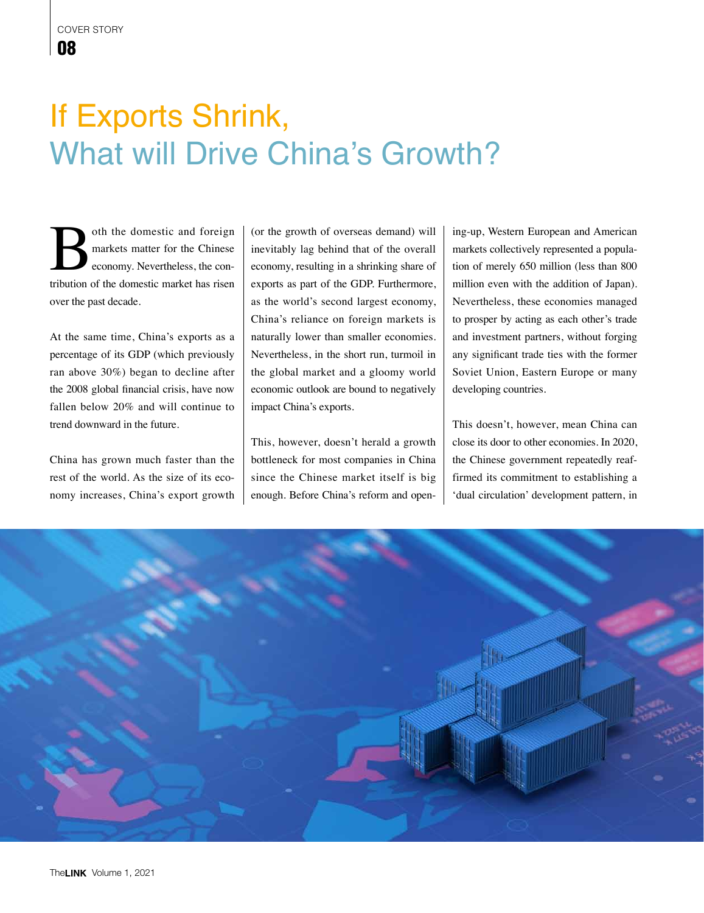## If Exports Shrink, What will Drive China's Growth?

oth the domestic and foreign markets matter for the Chinese economy. Nevertheless, the contribution of the domestic market has risen over the past decade.

At the same time, China's exports as a percentage of its GDP (which previously ran above 30%) began to decline after the 2008 global financial crisis, have now fallen below 20% and will continue to trend downward in the future.

China has grown much faster than the rest of the world. As the size of its economy increases, China's export growth (or the growth of overseas demand) will inevitably lag behind that of the overall economy, resulting in a shrinking share of exports as part of the GDP. Furthermore, as the world's second largest economy, China's reliance on foreign markets is naturally lower than smaller economies. Nevertheless, in the short run, turmoil in the global market and a gloomy world economic outlook are bound to negatively impact China's exports.

This, however, doesn't herald a growth bottleneck for most companies in China since the Chinese market itself is big enough. Before China's reform and opening-up, Western European and American markets collectively represented a population of merely 650 million (less than 800 million even with the addition of Japan). Nevertheless, these economies managed to prosper by acting as each other's trade and investment partners, without forging any significant trade ties with the former Soviet Union, Eastern Europe or many developing countries.

This doesn't, however, mean China can close its door to other economies. In 2020, the Chinese government repeatedly reaffirmed its commitment to establishing a 'dual circulation' development pattern, in